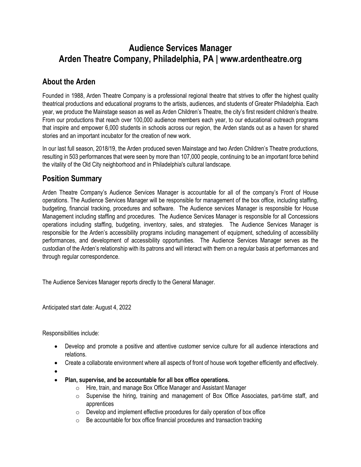# **Audience Services Manager Arden Theatre Company, Philadelphia, PA | www.ardentheatre.org**

# **About the Arden**

Founded in 1988, Arden Theatre Company is a professional regional theatre that strives to offer the highest quality theatrical productions and educational programs to the artists, audiences, and students of Greater Philadelphia. Each year, we produce the Mainstage season as well as Arden Children's Theatre, the city's first resident children's theatre. From our productions that reach over 100,000 audience members each year, to our educational outreach programs that inspire and empower 6,000 students in schools across our region, the Arden stands out as a haven for shared stories and an important incubator for the creation of new work.

In our last full season, 2018/19, the Arden produced seven Mainstage and two Arden Children's Theatre productions, resulting in 503 performances that were seen by more than 107,000 people, continuing to be an important force behind the vitality of the Old City neighborhood and in Philadelphia's cultural landscape.

## **Position Summary**

Arden Theatre Company's Audience Services Manager is accountable for all of the company's Front of House operations. The Audience Services Manager will be responsible for management of the box office, including staffing, budgeting, financial tracking, procedures and software. The Audience services Manager is responsible for House Management including staffing and procedures. The Audience Services Manager is responsible for all Concessions operations including staffing, budgeting, inventory, sales, and strategies. The Audience Services Manager is responsible for the Arden's accessibility programs including management of equipment, scheduling of accessibility performances, and development of accessibility opportunities. The Audience Services Manager serves as the custodian of the Arden's relationship with its patrons and will interact with them on a regular basis at performances and through regular correspondence.

The Audience Services Manager reports directly to the General Manager.

Anticipated start date: August 4, 2022

Responsibilities include:

- Develop and promote a positive and attentive customer service culture for all audience interactions and relations.
- Create a collaborate environment where all aspects of front of house work together efficiently and effectively.
- •
- **Plan, supervise, and be accountable for all box office operations.**
	- o Hire, train, and manage Box Office Manager and Assistant Manager
	- o Supervise the hiring, training and management of Box Office Associates, part-time staff, and apprentices
	- $\circ$  Develop and implement effective procedures for daily operation of box office
	- $\circ$  Be accountable for box office financial procedures and transaction tracking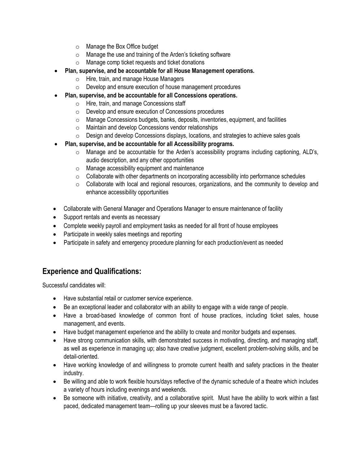- o Manage the Box Office budget
- o Manage the use and training of the Arden's ticketing software
- o Manage comp ticket requests and ticket donations
- **Plan, supervise, and be accountable for all House Management operations.**
	- o Hire, train, and manage House Managers
	- o Develop and ensure execution of house management procedures
	- **Plan, supervise, and be accountable for all Concessions operations.**
		- o Hire, train, and manage Concessions staff
		- o Develop and ensure execution of Concessions procedures
		- o Manage Concessions budgets, banks, deposits, inventories, equipment, and facilities
		- o Maintain and develop Concessions vendor relationships
		- o Design and develop Concessions displays, locations, and strategies to achieve sales goals
- **Plan, supervise, and be accountable for all Accessibility programs.**
	- $\circ$  Manage and be accountable for the Arden's accessibility programs including captioning, ALD's, audio description, and any other opportunities
	- o Manage accessibility equipment and maintenance
	- $\circ$  Collaborate with other departments on incorporating accessibility into performance schedules
	- $\circ$  Collaborate with local and regional resources, organizations, and the community to develop and enhance accessibility opportunities
- Collaborate with General Manager and Operations Manager to ensure maintenance of facility
- Support rentals and events as necessary
- Complete weekly payroll and employment tasks as needed for all front of house employees
- Participate in weekly sales meetings and reporting
- Participate in safety and emergency procedure planning for each production/event as needed

#### **Experience and Qualifications:**

Successful candidates will:

- Have substantial retail or customer service experience.
- Be an exceptional leader and collaborator with an ability to engage with a wide range of people.
- Have a broad-based knowledge of common front of house practices, including ticket sales, house management, and events.
- Have budget management experience and the ability to create and monitor budgets and expenses.
- Have strong communication skills, with demonstrated success in motivating, directing, and managing staff, as well as experience in managing up; also have creative judgment, excellent problem-solving skills, and be detail-oriented.
- Have working knowledge of and willingness to promote current health and safety practices in the theater industry.
- Be willing and able to work flexible hours/days reflective of the dynamic schedule of a theatre which includes a variety of hours including evenings and weekends.
- Be someone with initiative, creativity, and a collaborative spirit. Must have the ability to work within a fast paced, dedicated management team—rolling up your sleeves must be a favored tactic.